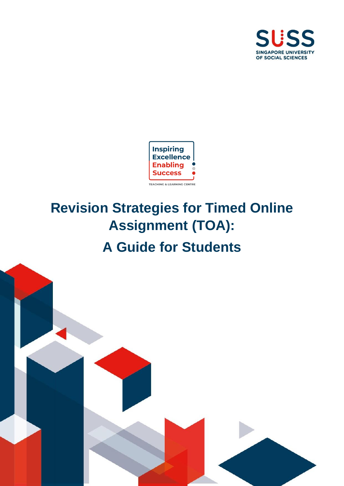



# **Revision Strategies for Timed Online Assignment (TOA): A Guide for Students**

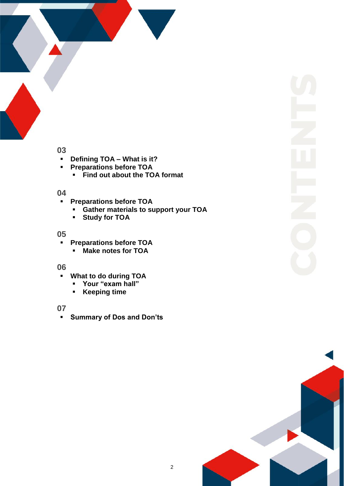

# **03**

- **Defining TOA – What is it?**
- **Preparations before TOA**
	- **Find out about the TOA format**

## **04**

- **Preparations before TOA** 
	- **Gather materials to support your TOA**
	- **Study for TOA**

## **05**

- **Preparations before TOA**
	- **Make notes for TOA**

## **06**

- **What to do during TOA**
	- **Your "exam hall"**
	- **Keeping time**

## **07**

**Summary of Dos and Don'ts**

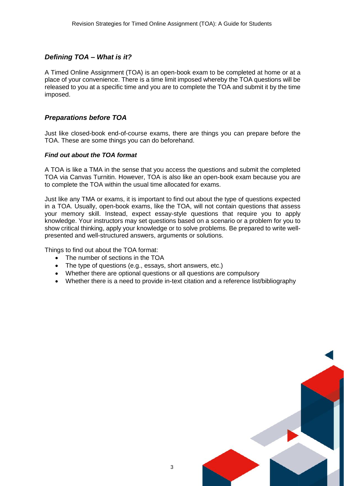## *Defining TOA – What is it?*

A Timed Online Assignment (TOA) is an open-book exam to be completed at home or at a place of your convenience. There is a time limit imposed whereby the TOA questions will be released to you at a specific time and you are to complete the TOA and submit it by the time imposed.

## *Preparations before TOA*

Just like closed-book end-of-course exams, there are things you can prepare before the TOA. These are some things you can do beforehand.

#### *Find out about the TOA format*

A TOA is like a TMA in the sense that you access the questions and submit the completed TOA via Canvas Turnitin. However, TOA is also like an open-book exam because you are to complete the TOA within the usual time allocated for exams.

Just like any TMA or exams, it is important to find out about the type of questions expected in a TOA. Usually, open-book exams, like the TOA, will not contain questions that assess your memory skill. Instead, expect essay-style questions that require you to apply knowledge. Your instructors may set questions based on a scenario or a problem for you to show critical thinking, apply your knowledge or to solve problems. Be prepared to write wellpresented and well-structured answers, arguments or solutions.

Things to find out about the TOA format:

- The number of sections in the TOA
- The type of questions (e.g., essays, short answers, etc.)
- Whether there are optional questions or all questions are compulsory
- Whether there is a need to provide in-text citation and a reference list/bibliography

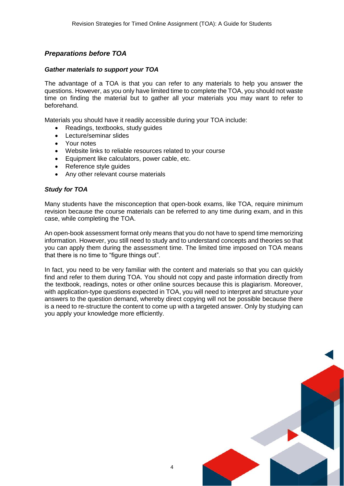## *Preparations before TOA*

#### *Gather materials to support your TOA*

The advantage of a TOA is that you can refer to any materials to help you answer the questions. However, as you only have limited time to complete the TOA, you should not waste time on finding the material but to gather all your materials you may want to refer to beforehand.

Materials you should have it readily accessible during your TOA include:

- Readings, textbooks, study guides
- Lecture/seminar slides
- Your notes
- Website links to reliable resources related to your course
- Equipment like calculators, power cable, etc.
- Reference style guides
- Any other relevant course materials

#### *Study for TOA*

Many students have the misconception that open-book exams, like TOA, require minimum revision because the course materials can be referred to any time during exam, and in this case, while completing the TOA.

An open-book assessment format only means that you do not have to spend time memorizing information. However, you still need to study and to understand concepts and theories so that you can apply them during the assessment time. The limited time imposed on TOA means that there is no time to "figure things out".

In fact, you need to be very familiar with the content and materials so that you can quickly find and refer to them during TOA. You should not copy and paste information directly from the textbook, readings, notes or other online sources because this is plagiarism. Moreover, with application-type questions expected in TOA, you will need to interpret and structure your answers to the question demand, whereby direct copying will not be possible because there is a need to re-structure the content to come up with a targeted answer. Only by studying can you apply your knowledge more efficiently.

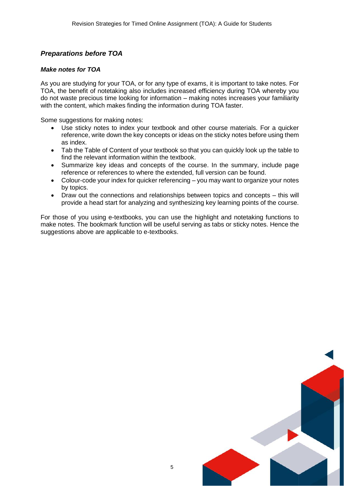## *Preparations before TOA*

#### *Make notes for TOA*

As you are studying for your TOA, or for any type of exams, it is important to take notes. For TOA, the benefit of notetaking also includes increased efficiency during TOA whereby you do not waste precious time looking for information – making notes increases your familiarity with the content, which makes finding the information during TOA faster.

Some suggestions for making notes:

- Use sticky notes to index your textbook and other course materials. For a quicker reference, write down the key concepts or ideas on the sticky notes before using them as index.
- Tab the Table of Content of your textbook so that you can quickly look up the table to find the relevant information within the textbook.
- Summarize key ideas and concepts of the course. In the summary, include page reference or references to where the extended, full version can be found.
- Colour-code your index for quicker referencing you may want to organize your notes by topics.
- Draw out the connections and relationships between topics and concepts this will provide a head start for analyzing and synthesizing key learning points of the course.

For those of you using e-textbooks, you can use the highlight and notetaking functions to make notes. The bookmark function will be useful serving as tabs or sticky notes. Hence the suggestions above are applicable to e-textbooks.

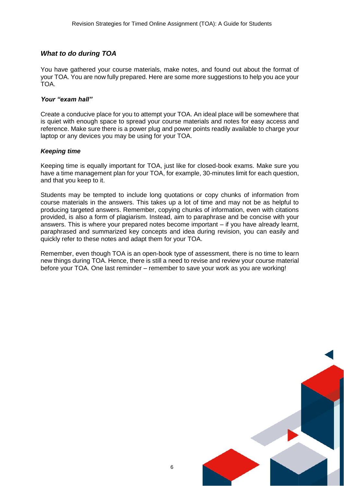#### *What to do during TOA*

You have gathered your course materials, make notes, and found out about the format of your TOA. You are now fully prepared. Here are some more suggestions to help you ace your TOA.

#### *Your "exam hall"*

Create a conducive place for you to attempt your TOA. An ideal place will be somewhere that is quiet with enough space to spread your course materials and notes for easy access and reference. Make sure there is a power plug and power points readily available to charge your laptop or any devices you may be using for your TOA.

#### *Keeping time*

Keeping time is equally important for TOA, just like for closed-book exams. Make sure you have a time management plan for your TOA, for example, 30-minutes limit for each question, and that you keep to it.

Students may be tempted to include long quotations or copy chunks of information from course materials in the answers. This takes up a lot of time and may not be as helpful to producing targeted answers. Remember, copying chunks of information, even with citations provided, is also a form of plagiarism. Instead, aim to paraphrase and be concise with your answers. This is where your prepared notes become important – if you have already learnt, paraphrased and summarized key concepts and idea during revision, you can easily and quickly refer to these notes and adapt them for your TOA.

Remember, even though TOA is an open-book type of assessment, there is no time to learn new things during TOA. Hence, there is still a need to revise and review your course material before your TOA. One last reminder – remember to save your work as you are working!

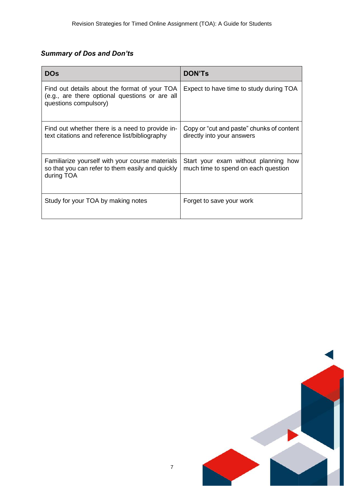## *Summary of Dos and Don'ts*

| <b>DOs</b>                                                                                                               | <b>DON'Ts</b>                                                               |
|--------------------------------------------------------------------------------------------------------------------------|-----------------------------------------------------------------------------|
| Find out details about the format of your TOA<br>(e.g., are there optional questions or are all<br>questions compulsory) | Expect to have time to study during TOA                                     |
| Find out whether there is a need to provide in-<br>text citations and reference list/bibliography                        | Copy or "cut and paste" chunks of content<br>directly into your answers     |
| Familiarize yourself with your course materials<br>so that you can refer to them easily and quickly<br>during TOA        | Start your exam without planning how<br>much time to spend on each question |
| Study for your TOA by making notes                                                                                       | Forget to save your work                                                    |

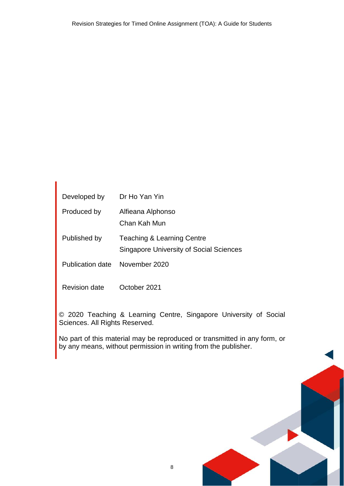| Developed by         | Dr Ho Yan Yin                                                                |
|----------------------|------------------------------------------------------------------------------|
| Produced by          | Alfieana Alphonso<br>Chan Kah Mun                                            |
| Published by         | Teaching & Learning Centre<br><b>Singapore University of Social Sciences</b> |
| Publication date     | November 2020                                                                |
| <b>Revision date</b> | October 2021                                                                 |

© 2020 Teaching & Learning Centre, Singapore University of Social Sciences. All Rights Reserved.

No part of this material may be reproduced or transmitted in any form, or by any means, without permission in writing from the publisher.